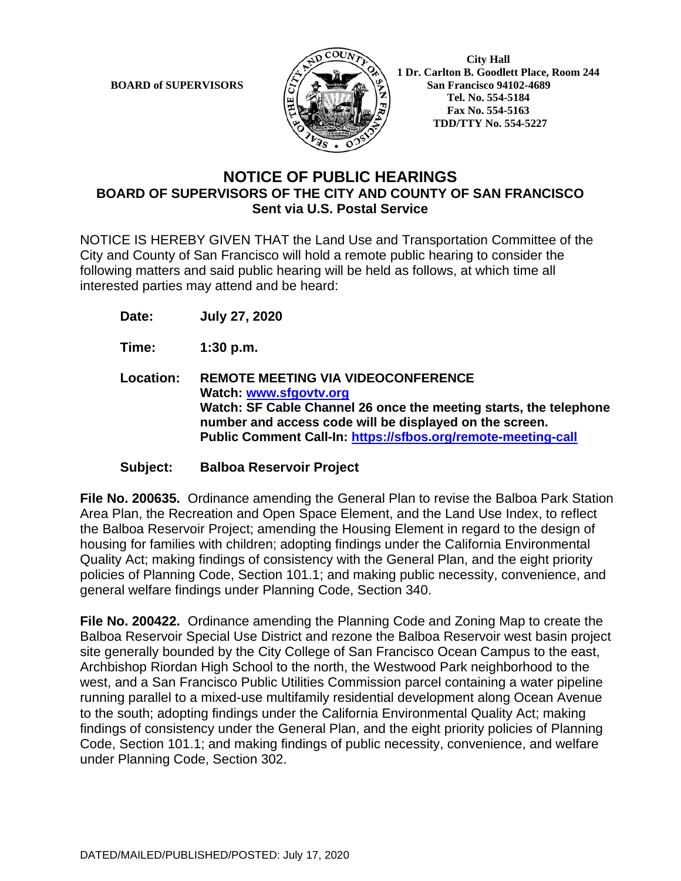

**BOARD of SUPERVISORS**  $\left(\frac{1}{2}\right)$  **1** Dr. Carlton B. Goodlett Place, Room 244 **San Francisco 94102-4689 Tel. No. 554-5184 Fax No. 554-5163 TDD/TTY No. 554-5227**

## **NOTICE OF PUBLIC HEARINGS BOARD OF SUPERVISORS OF THE CITY AND COUNTY OF SAN FRANCISCO Sent via U.S. Postal Service**

NOTICE IS HEREBY GIVEN THAT the Land Use and Transportation Committee of the City and County of San Francisco will hold a remote public hearing to consider the following matters and said public hearing will be held as follows, at which time all interested parties may attend and be heard:

**Date: July 27, 2020**

**Time: 1:30 p.m.**

**Location: REMOTE MEETING VIA VIDEOCONFERENCE Watch: www.sfgovtv.org Watch: SF Cable Channel 26 once the meeting starts, the telephone number and access code will be displayed on the screen. Public Comment Call-In: https://sfbos.org/remote-meeting-call**

**Subject: Balboa Reservoir Project**

**File No. 200635.** Ordinance amending the General Plan to revise the Balboa Park Station Area Plan, the Recreation and Open Space Element, and the Land Use Index, to reflect the Balboa Reservoir Project; amending the Housing Element in regard to the design of housing for families with children; adopting findings under the California Environmental Quality Act; making findings of consistency with the General Plan, and the eight priority policies of Planning Code, Section 101.1; and making public necessity, convenience, and general welfare findings under Planning Code, Section 340.

**File No. 200422.** Ordinance amending the Planning Code and Zoning Map to create the Balboa Reservoir Special Use District and rezone the Balboa Reservoir west basin project site generally bounded by the City College of San Francisco Ocean Campus to the east, Archbishop Riordan High School to the north, the Westwood Park neighborhood to the west, and a San Francisco Public Utilities Commission parcel containing a water pipeline running parallel to a mixed-use multifamily residential development along Ocean Avenue to the south; adopting findings under the California Environmental Quality Act; making findings of consistency under the General Plan, and the eight priority policies of Planning Code, Section 101.1; and making findings of public necessity, convenience, and welfare under Planning Code, Section 302.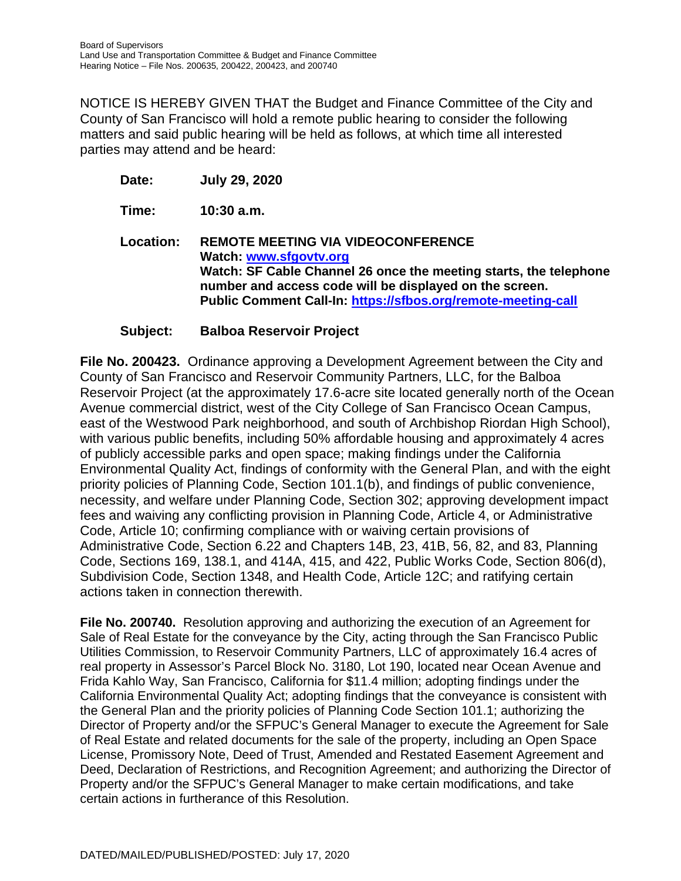NOTICE IS HEREBY GIVEN THAT the Budget and Finance Committee of the City and County of San Francisco will hold a remote public hearing to consider the following matters and said public hearing will be held as follows, at which time all interested parties may attend and be heard:

**Date: July 29, 2020**

**Time: 10:30 a.m.**

**Location: REMOTE MEETING VIA VIDEOCONFERENCE Watch: www.sfgovtv.org Watch: SF Cable Channel 26 once the meeting starts, the telephone number and access code will be displayed on the screen. Public Comment Call-In: https://sfbos.org/remote-meeting-call**

### **Subject: Balboa Reservoir Project**

**File No. 200423.** Ordinance approving a Development Agreement between the City and County of San Francisco and Reservoir Community Partners, LLC, for the Balboa Reservoir Project (at the approximately 17.6-acre site located generally north of the Ocean Avenue commercial district, west of the City College of San Francisco Ocean Campus, east of the Westwood Park neighborhood, and south of Archbishop Riordan High School), with various public benefits, including 50% affordable housing and approximately 4 acres of publicly accessible parks and open space; making findings under the California Environmental Quality Act, findings of conformity with the General Plan, and with the eight priority policies of Planning Code, Section 101.1(b), and findings of public convenience, necessity, and welfare under Planning Code, Section 302; approving development impact fees and waiving any conflicting provision in Planning Code, Article 4, or Administrative Code, Article 10; confirming compliance with or waiving certain provisions of Administrative Code, Section 6.22 and Chapters 14B, 23, 41B, 56, 82, and 83, Planning Code, Sections 169, 138.1, and 414A, 415, and 422, Public Works Code, Section 806(d), Subdivision Code, Section 1348, and Health Code, Article 12C; and ratifying certain actions taken in connection therewith.

**File No. 200740.** Resolution approving and authorizing the execution of an Agreement for Sale of Real Estate for the conveyance by the City, acting through the San Francisco Public Utilities Commission, to Reservoir Community Partners, LLC of approximately 16.4 acres of real property in Assessor's Parcel Block No. 3180, Lot 190, located near Ocean Avenue and Frida Kahlo Way, San Francisco, California for \$11.4 million; adopting findings under the California Environmental Quality Act; adopting findings that the conveyance is consistent with the General Plan and the priority policies of Planning Code Section 101.1; authorizing the Director of Property and/or the SFPUC's General Manager to execute the Agreement for Sale of Real Estate and related documents for the sale of the property, including an Open Space License, Promissory Note, Deed of Trust, Amended and Restated Easement Agreement and Deed, Declaration of Restrictions, and Recognition Agreement; and authorizing the Director of Property and/or the SFPUC's General Manager to make certain modifications, and take certain actions in furtherance of this Resolution.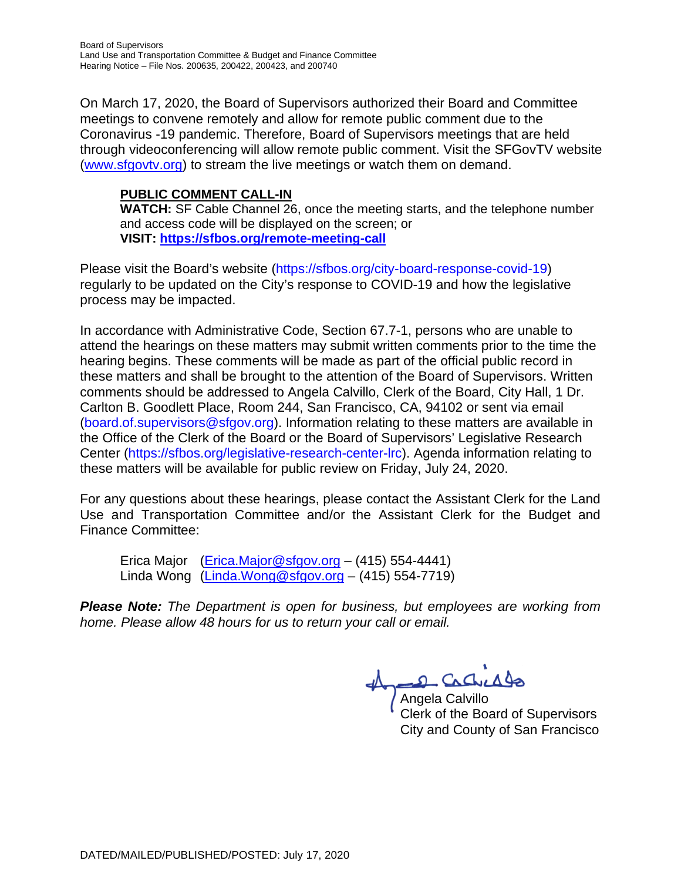On March 17, 2020, the Board of Supervisors authorized their Board and Committee meetings to convene remotely and allow for remote public comment due to the Coronavirus -19 pandemic. Therefore, Board of Supervisors meetings that are held through videoconferencing will allow remote public comment. Visit the SFGovTV website (www.sfgovtv.org) to stream the live meetings or watch them on demand.

## **PUBLIC COMMENT CALL-IN**

**WATCH:** SF Cable Channel 26, once the meeting starts, and the telephone number and access code will be displayed on the screen; or **VISIT: https://sfbos.org/remote-meeting-call**

Please visit the Board's website (https://sfbos.org/city-board-response-covid-19) regularly to be updated on the City's response to COVID-19 and how the legislative process may be impacted.

In accordance with Administrative Code, Section 67.7-1, persons who are unable to attend the hearings on these matters may submit written comments prior to the time the hearing begins. These comments will be made as part of the official public record in these matters and shall be brought to the attention of the Board of Supervisors. Written comments should be addressed to Angela Calvillo, Clerk of the Board, City Hall, 1 Dr. Carlton B. Goodlett Place, Room 244, San Francisco, CA, 94102 or sent via email (board.of.supervisors@sfgov.org). Information relating to these matters are available in the Office of the Clerk of the Board or the Board of Supervisors' Legislative Research Center (https://sfbos.org/legislative-research-center-lrc). Agenda information relating to these matters will be available for public review on Friday, July 24, 2020.

For any questions about these hearings, please contact the Assistant Clerk for the Land Use and Transportation Committee and/or the Assistant Clerk for the Budget and Finance Committee:

Erica Major (Erica.Major@sfgov.org - (415) 554-4441) Linda Wong  $(Linda.Wong@stgov.org - (415) 554-7719)$ 

*Please Note: The Department is open for business, but employees are working from home. Please allow 48 hours for us to return your call or email.*

2 Cachicago

Angela Calvillo Clerk of the Board of Supervisors City and County of San Francisco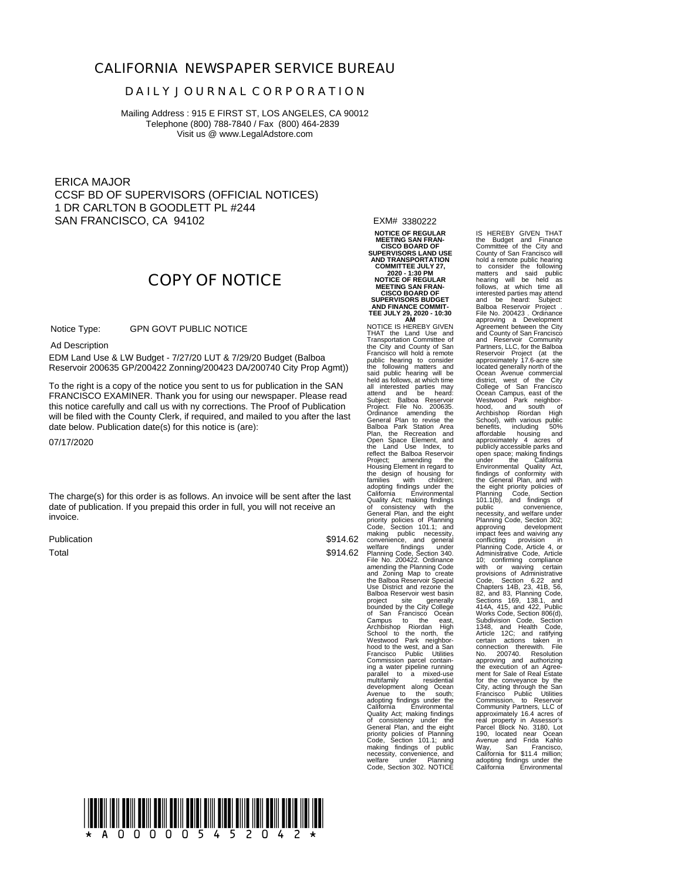#### **CALIFORNIA NEWSPAPER SERVICE BUREAU**

#### **D A I L Y J O U R N A L C O R P O R A T I O N**

Mailing Address : 915 E FIRST ST, LOS ANGELES, CA 90012 Telephone (800) 788-7840 / Fax (800) 464-2839 Visit us @ www.LegalAdstore.com

ERICA MAJOR CCSF BD OF SUPERVISORS (OFFICIAL NOTICES) 1 DR CARLTON B GOODLETT PL #244 SAN FRANCISCO, CA 94102

# **COPY OF NOTICE**

 GPN GOVT PUBLIC NOTICE Notice Type:

Ad Description

 EDM Land Use & LW Budget - 7/27/20 LUT & 7/29/20 Budget (Balboa Reservoir 200635 GP/200422 Zonning/200423 DA/200740 City Prop Agmt))

FRANCISCO EXAMINER. Thank you for using our newspaper. Please read<br>this notice carefully and call us with ny corrections. The Proof of Publication To the right is a copy of the notice you sent to us for publication in the SAN FRANCISCO EXAMINER. Thank you for using our newspaper. Please read will be filed with the County Clerk, if required, and mailed to you after the last date below. Publication date(s) for this notice is (are):

07/17/2020

The charge(s) for this order is as follows. An invoice will be sent after the last date of publication. If you prepaid this order in full, you will not receive an invoice.

Publication Total

\$914.62 \$914.62 EXM# 3380222

**NOTICE OF REGULAR MEETING SAN FRAN-CISCO BOARD OF SUPERVISORS LAND USE AND TRANSPORTATION COMMITTEE JULY 27, 2020 - 1:30 PM NOTICE OF REGULAR MEETING SAN FRAN-CISCO BOARD OF SUPERVISORS BUDGET AND FINANCE COMMIT-TEE JULY 29, 2020 - 10:30 AM** NOTICE IS HEREBY GIVEN

THAT the Land Use and Transportation Committee of the City and County of San Francisco will hold a remote public hearing to consider the following matters and<br>said public hearing will be<br>held as follows, at which time<br>all interested parties may<br>all interested parties may<br>Subject: Balboa Reservoir<br>Project. File No. 200635.<br>Ordi Open Space Element, and the Land Use Index, to reflect the Balboa Reservoir Project; amending the Housing Element in regard to the design of housing for families with children; adopting findings under the California Environmental Quality Act; making finding finding<br>General Plan, and the eight priority policies of Planning<br>Code, Section 101.1; and File No. 200422. Ordinance<br>amending the Planning Code<br>and Zoning Map to create<br>the Balboa Reservoir Special<br>Use District and rezone the<br>Balboa Reservoir vest basin<br>project site of the College<br>bounded by the City College<br>Ca parallel to a mixed-use<br>multifamily residential<br>development along Ocean Avenue to the south; adopting findings under the California Environmental Quality Act; making findings of consistency under the General Plan, and the eight priority policies of Planning Code, Section 101.1; and making findings of public necessity, convenience, and welfare under Planning Code, Section 302. NOTICE

IS HEREBY GIVEN THAT the Budget and Finance Committee of the City and County of San Francisco will hold a remote public hearing to consider the following matters and said public hearing will be held as follows, at which time all interested parties may attend and be heard: Subject: merested parties may attend<br>and be heard: Subject:<br>Balboa Reservoir Project . File No. 200423 . Ordinance<br>approving a Development<br>Agreement between the City<br>and County of San Francisco<br>and Reservoir Community<br>Partners, LLC, for the Balboa<br>Reservoir Project (at the<br>approximately 17.6-acre site<br>locate hood, and south of Archbishop Riordan High School), with various public benefits, including 50% affordable housing and approximately 4 acres of publicly accessible parks and open space; making findings<br>under the California under the California Environmental Quality Act, findings of conformity with the General Plan, and with the eight priority policies of Planning Code, Section 101.1(b), and minings of<br>public conveniences, conveniences, and welfare under<br>public convenience, according and approving<br>approving development<br>mining Code, Section 302, and minimizative Code, Article<br>and ministrative Code City, acting through the San<br>Francisco - Public Utilities<br>Community Patriers, LLC of<br>approximately 16.4 acres of<br>approximately 16.4 acres of<br>Parcel Block No. 3180, Lot<br>190, located near Ocean<br>Ayenue and Frida Kahlou<br>Way, S California for \$11.4 million; adopting findings under the California Environmental